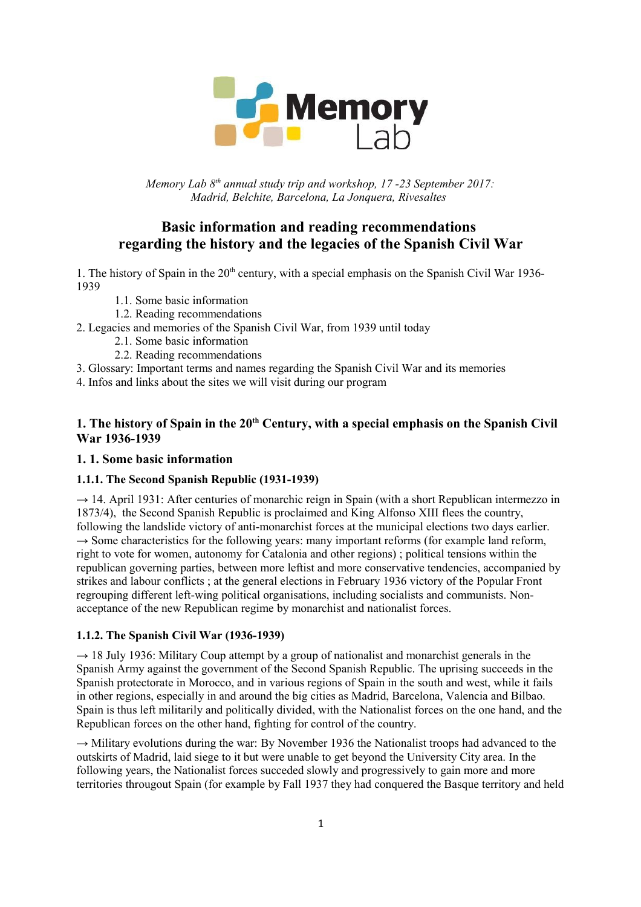

*Memory Lab 8th annual study trip and workshop, 17 -23 September 2017: Madrid, Belchite, Barcelona, La Jonquera, Rivesaltes* 

# **Basic information and reading recommendations regarding the history and the legacies of the Spanish Civil War**

1. The history of Spain in the 20<sup>th</sup> century, with a special emphasis on the Spanish Civil War 1936-1939

- 1.1. Some basic information
- 1.2. Reading recommendations
- 2. Legacies and memories of the Spanish Civil War, from 1939 until today
	- 2.1. Some basic information
	- 2.2. Reading recommendations
- 3. Glossary: Important terms and names regarding the Spanish Civil War and its memories
- 4. Infos and links about the sites we will visit during our program

# **1. The history of Spain in the 20th Century, with a special emphasis on the Spanish Civil War 1936-1939**

# **1. 1. Some basic information**

# **1.1.1. The Second Spanish Republic (1931-1939)**

 $\rightarrow$  14. April 1931: After centuries of monarchic reign in Spain (with a short Republican intermezzo in 1873/4), the Second Spanish Republic is proclaimed and King Alfonso XIII flees the country, following the landslide victory of anti-monarchist forces at the municipal elections two days earlier.  $\rightarrow$  Some characteristics for the following years: many important reforms (for example land reform, right to vote for women, autonomy for Catalonia and other regions) ; political tensions within the republican governing parties, between more leftist and more conservative tendencies, accompanied by strikes and labour conflicts ; at the general elections in February 1936 victory of the Popular Front regrouping different left-wing political organisations, including socialists and communists. Nonacceptance of the new Republican regime by monarchist and nationalist forces.

### **1.1.2. The Spanish Civil War (1936-1939)**

 $\rightarrow$  18 July 1936: Military Coup attempt by a group of nationalist and monarchist generals in the Spanish Army against the government of the Second Spanish Republic. The uprising succeeds in the Spanish protectorate in Morocco, and in various regions of Spain in the south and west, while it fails in other regions, especially in and around the big cities as Madrid, Barcelona, Valencia and Bilbao. Spain is thus left militarily and politically divided, with the Nationalist forces on the one hand, and the Republican forces on the other hand, fighting for control of the country.

 $\rightarrow$  Military evolutions during the war: By November 1936 the Nationalist troops had advanced to the outskirts of Madrid, laid siege to it but were unable to get beyond the University City area. In the following years, the Nationalist forces succeded slowly and progressively to gain more and more territories througout Spain (for example by Fall 1937 they had conquered the Basque territory and held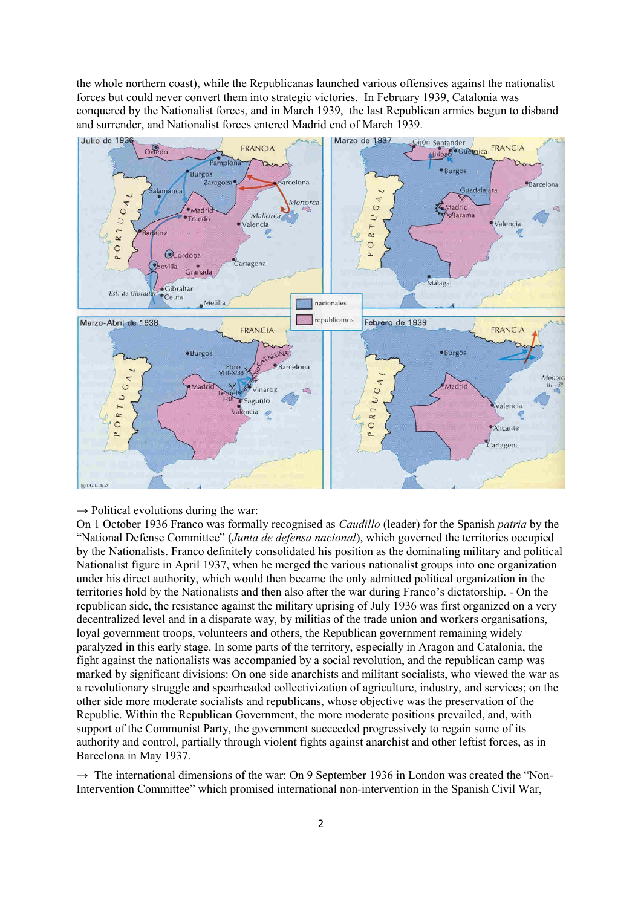the whole northern coast), while the Republicanas launched various offensives against the nationalist forces but could never convert them into strategic victories. In February 1939, Catalonia was conquered by the Nationalist forces, and in March 1939, the last Republican armies begun to disband and surrender, and Nationalist forces entered Madrid end of March 1939.



#### $\rightarrow$  Political evolutions during the war:

On 1 October 1936 Franco was formally recognised as *Caudillo* (leader) for the Spanish *patria* by the "National Defense Committee" (*Junta de defensa nacional*), which governed the territories occupied by the [Nationalists.](https://en.wikipedia.org/wiki/Nationalist_faction_(Spanish_Civil_War)) Franco definitely consolidated his position as the dominating military and political Nationalist figure in April 1937, when he merged the various nationalist groups into one organization under his direct authority, which would then became the only admitted political organization in the territories hold by the Nationalists and then also after the war during Franco's dictatorship. - On the republican side, the resistance against the military uprising of July 1936 was first organized on a very decentralized level and in a disparate way, by militias of the trade union and workers organisations, loyal government troops, volunteers and others, the Republican government remaining widely paralyzed in this early stage. In some parts of the territory, especially in Aragon and Catalonia, the fight against the nationalists was accompanied by a social revolution, and the republican camp was marked by significant divisions: On one side anarchists and militant socialists, who viewed the war as a revolutionary struggle and spearheaded collectivization of agriculture, industry, and services; on the other side more moderate socialists and republicans, whose objective was the preservation of the Republic. Within the Republican Government, the more moderate positions prevailed, and, with support of the Communist Party, the government succeeded progressively to regain some of its authority and control, partially through violent fights against anarchist and other leftist forces, as in Barcelona in May 1937.

 $\rightarrow$  The international dimensions of the war: On 9 September 1936 in London was created the "Non-Intervention Committee" which promised international non-intervention in the Spanish Civil War,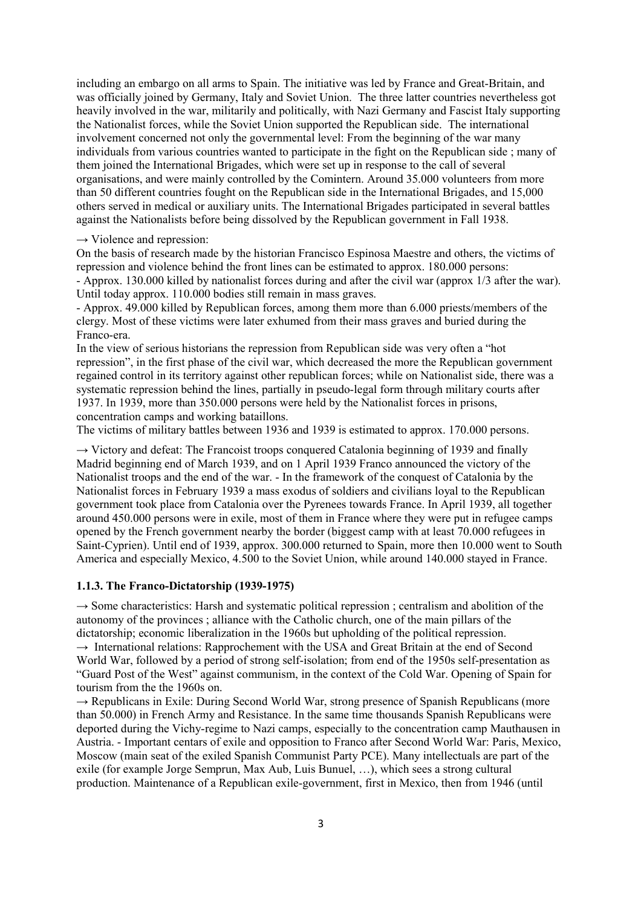including an embargo on all arms to Spain. The initiative was led by France and Great-Britain, and was officially joined by Germany, Italy and Soviet Union. The three latter countries nevertheless got heavily involved in the war, militarily and politically, with Nazi Germany and Fascist Italy supporting the Nationalist forces, while the Soviet Union supported the Republican side. The international involvement concerned not only the governmental level: From the beginning of the war many individuals from various countries wanted to participate in the fight on the Republican side ; many of them joined the International Brigades, which were set up in response to the call of several organisations, and were mainly controlled by the Comintern. Around 35.000 volunteers from more than 50 different countries fought on the Republican side in the International Brigades, and 15,000 others served in medical or auxiliary units. The International Brigades participated in several battles against the Nationalists before being dissolved by the Republican government in Fall 1938.

#### $\rightarrow$  Violence and repression:

On the basis of research made by the historian Francisco Espinosa Maestre and others, the victims of repression and violence behind the front lines can be estimated to approx. 180.000 persons: - Approx. 130.000 killed by nationalist forces during and after the civil war (approx 1/3 after the war). Until today approx. 110.000 bodies still remain in mass graves.

- Approx. 49.000 killed by Republican forces, among them more than 6.000 priests/members of the clergy. Most of these victims were later exhumed from their mass graves and buried during the Franco-era.

In the view of serious historians the repression from Republican side was very often a "hot repression", in the first phase of the civil war, which decreased the more the Republican government regained control in its territory against other republican forces; while on Nationalist side, there was a systematic repression behind the lines, partially in pseudo-legal form through military courts after 1937. In 1939, more than 350.000 persons were held by the Nationalist forces in prisons, concentration camps and working bataillons.

The victims of military battles between 1936 and 1939 is estimated to approx. 170.000 persons.

 $\rightarrow$  Victory and defeat: The Francoist troops conquered Catalonia beginning of 1939 and finally Madrid beginning end of March 1939, and on 1 April 1939 Franco announced the victory of the Nationalist troops and the end of the war. - In the framework of the conquest of Catalonia by the Nationalist forces in February 1939 a mass exodus of soldiers and civilians loyal to the Republican government took place from Catalonia over the Pyrenees towards France. In April 1939, all together around 450.000 persons were in exile, most of them in France where they were put in refugee camps opened by the French government nearby the border (biggest camp with at least 70.000 refugees in Saint-Cyprien). Until end of 1939, approx. 300.000 returned to Spain, more then 10.000 went to South America and especially Mexico, 4.500 to the Soviet Union, while around 140.000 stayed in France.

#### **1.1.3. The Franco-Dictatorship (1939-1975)**

 $\rightarrow$  Some characteristics: Harsh and systematic political repression ; centralism and abolition of the autonomy of the provinces ; alliance with the Catholic church, one of the main pillars of the dictatorship; economic liberalization in the 1960s but upholding of the political repression.  $\rightarrow$  International relations: Rapprochement with the USA and Great Britain at the end of Second World War, followed by a period of strong self-isolation; from end of the 1950s self-presentation as "Guard Post of the West" against communism, in the context of the Cold War. Opening of Spain for tourism from the the 1960s on.

 $\rightarrow$  Republicans in Exile: During Second World War, strong presence of Spanish Republicans (more than 50.000) in French Army and Resistance. In the same time thousands Spanish Republicans were deported during the Vichy-regime to Nazi camps, especially to the concentration camp Mauthausen in Austria. - Important centars of exile and opposition to Franco after Second World War: Paris, Mexico, Moscow (main seat of the exiled Spanish Communist Party PCE). Many intellectuals are part of the exile (for example Jorge Semprun, Max Aub, Luis Bunuel, …), which sees a strong cultural production. Maintenance of a Republican exile-government, first in Mexico, then from 1946 (until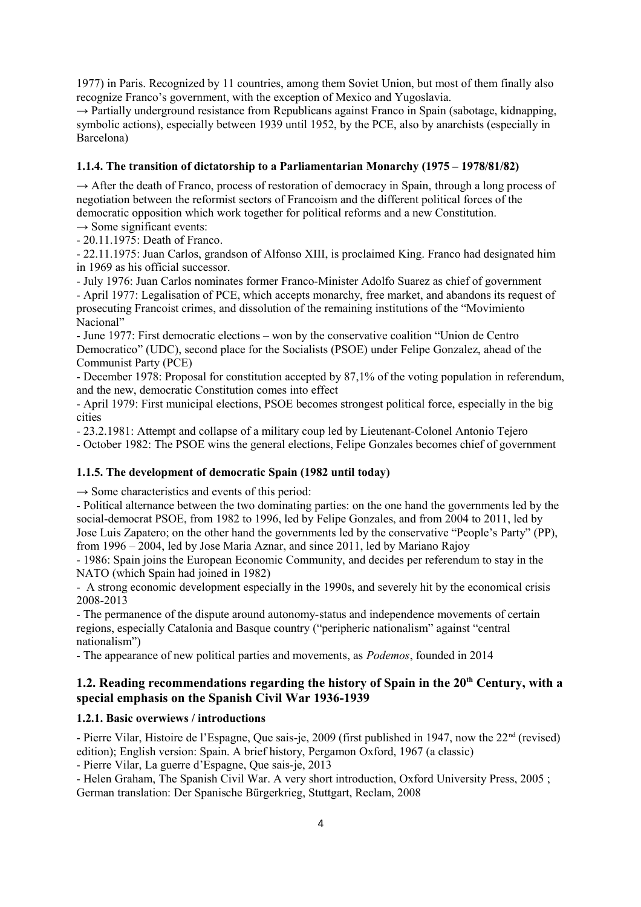1977) in Paris. Recognized by 11 countries, among them Soviet Union, but most of them finally also recognize Franco's government, with the exception of Mexico and Yugoslavia.

 $\rightarrow$  Partially underground resistance from Republicans against Franco in Spain (sabotage, kidnapping, symbolic actions), especially between 1939 until 1952, by the PCE, also by anarchists (especially in Barcelona)

#### **1.1.4. The transition of dictatorship to a Parliamentarian Monarchy (1975 – 1978/81/82)**

 $\rightarrow$  After the death of Franco, process of restoration of democracy in Spain, through a long process of negotiation between the reformist sectors of Francoism and the different political forces of the democratic opposition which work together for political reforms and a new Constitution.

 $\rightarrow$  Some significant events:

- 20.11.1975: Death of Franco.

- 22.11.1975: Juan Carlos, grandson of Alfonso XIII, is proclaimed King. Franco had designated him in 1969 as his official successor.

- July 1976: Juan Carlos nominates former Franco-Minister Adolfo Suarez as chief of government

- April 1977: Legalisation of PCE, which accepts monarchy, free market, and abandons its request of prosecuting Francoist crimes, and dissolution of the remaining institutions of the "Movimiento Nacional"

- June 1977: First democratic elections – won by the conservative coalition "Union de Centro Democratico" (UDC), second place for the Socialists (PSOE) under Felipe Gonzalez, ahead of the Communist Party (PCE)

- December 1978: Proposal for constitution accepted by 87,1% of the voting population in referendum, and the new, democratic Constitution comes into effect

- April 1979: First municipal elections, PSOE becomes strongest political force, especially in the big cities

- 23.2.1981: Attempt and collapse of a military coup led by Lieutenant-Colonel Antonio Tejero

- October 1982: The PSOE wins the general elections, Felipe Gonzales becomes chief of government

#### **1.1.5. The development of democratic Spain (1982 until today)**

 $\rightarrow$  Some characteristics and events of this period:

- Political alternance between the two dominating parties: on the one hand the governments led by the social-democrat PSOE, from 1982 to 1996, led by Felipe Gonzales, and from 2004 to 2011, led by Jose Luis Zapatero; on the other hand the governments led by the conservative "People's Party" (PP), from 1996 – 2004, led by Jose Maria Aznar, and since 2011, led by Mariano Rajoy

- 1986: Spain joins the European Economic Community, and decides per referendum to stay in the NATO (which Spain had joined in 1982)

- A strong economic development especially in the 1990s, and severely hit by the economical crisis 2008-2013

- The permanence of the dispute around autonomy-status and independence movements of certain regions, especially Catalonia and Basque country ("peripheric nationalism" against "central nationalism")

- The appearance of new political parties and movements, as *Podemos*, founded in 2014

# **1.2. Reading recommendations regarding the history of Spain in the 20th Century, with a special emphasis on the Spanish Civil War 1936-1939**

#### **1.2.1. Basic overwiews / introductions**

- Pierre Vilar, Histoire de l'Espagne, Que sais-je, 2009 (first published in 1947, now the 22<sup>nd</sup> (revised) edition); English version: Spain. A brief history, Pergamon Oxford, 1967 (a classic)

- Pierre Vilar, La guerre d'Espagne, Que sais-je, 2013

- Helen Graham, The Spanish Civil War. A very short introduction, Oxford University Press, 2005 ; German translation: Der Spanische Bürgerkrieg, Stuttgart, Reclam, 2008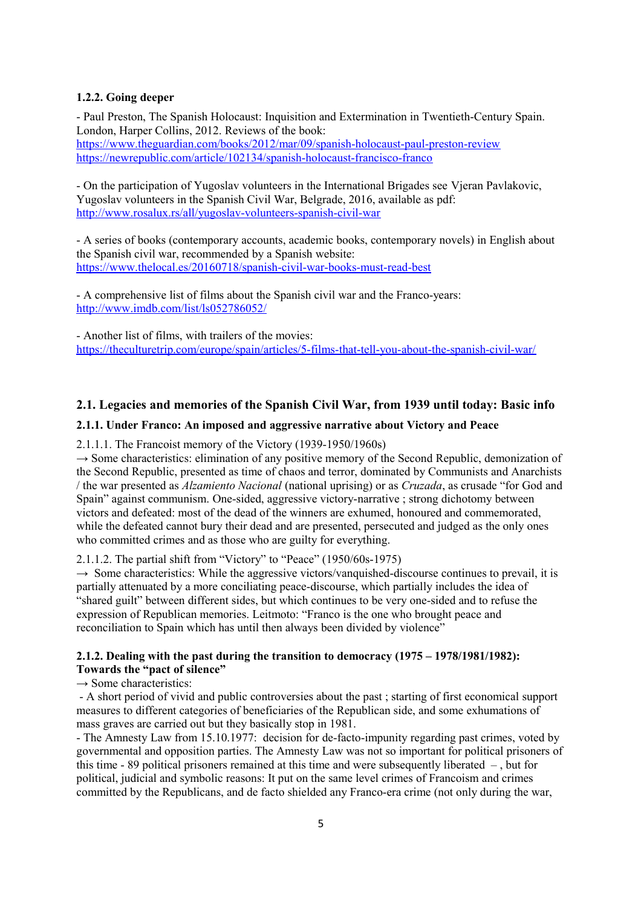#### **1.2.2. Going deeper**

- Paul Preston, The Spanish Holocaust: Inquisition and Extermination in Twentieth-Century Spain. London, Harper Collins, 2012. Reviews of the book: <https://www.theguardian.com/books/2012/mar/09/spanish-holocaust-paul-preston-review> <https://newrepublic.com/article/102134/spanish-holocaust-francisco-franco>

- On the participation of Yugoslav volunteers in the International Brigades see Vjeran Pavlakovic, Yugoslav volunteers in the Spanish Civil War, Belgrade, 2016, available as pdf: <http://www.rosalux.rs/all/yugoslav-volunteers-spanish-civil-war>

- A series of books (contemporary accounts, academic books, contemporary novels) in English about the Spanish civil war, recommended by a Spanish website: <https://www.thelocal.es/20160718/spanish-civil-war-books-must-read-best>

- A comprehensive list of films about the Spanish civil war and the Franco-years: <http://www.imdb.com/list/ls052786052/>

- Another list of films, with trailers of the movies: <https://theculturetrip.com/europe/spain/articles/5-films-that-tell-you-about-the-spanish-civil-war/>

### **2.1. Legacies and memories of the Spanish Civil War, from 1939 until today: Basic info**

#### **2.1.1. Under Franco: An imposed and aggressive narrative about Victory and Peace**

#### 2.1.1.1. The Francoist memory of the Victory (1939-1950/1960s)

 $\rightarrow$  Some characteristics: elimination of any positive memory of the Second Republic, demonization of the Second Republic, presented as time of chaos and terror, dominated by Communists and Anarchists / the war presented as *Alzamiento Nacional* (national uprising) or as *Cruzada*, as crusade "for God and Spain" against communism. One-sided, aggressive victory-narrative ; strong dichotomy between victors and defeated: most of the dead of the winners are exhumed, honoured and commemorated, while the defeated cannot bury their dead and are presented, persecuted and judged as the only ones who committed crimes and as those who are guilty for everything.

#### 2.1.1.2. The partial shift from "Victory" to "Peace" (1950/60s-1975)

 $\rightarrow$  Some characteristics: While the aggressive victors/vanquished-discourse continues to prevail, it is partially attenuated by a more conciliating peace-discourse, which partially includes the idea of "shared guilt" between different sides, but which continues to be very one-sided and to refuse the expression of Republican memories. Leitmoto: "Franco is the one who brought peace and reconciliation to Spain which has until then always been divided by violence"

### **2.1.2. Dealing with the past during the transition to democracy (1975 – 1978/1981/1982): Towards the "pact of silence"**

#### $\rightarrow$  Some characteristics:

- A short period of vivid and public controversies about the past ; starting of first economical support measures to different categories of beneficiaries of the Republican side, and some exhumations of mass graves are carried out but they basically stop in 1981.

- The Amnesty Law from 15.10.1977: decision for de-facto-impunity regarding past crimes, voted by governmental and opposition parties. The Amnesty Law was not so important for political prisoners of this time - 89 political prisoners remained at this time and were subsequently liberated – , but for political, judicial and symbolic reasons: It put on the same level crimes of Francoism and crimes committed by the Republicans, and de facto shielded any Franco-era crime (not only during the war,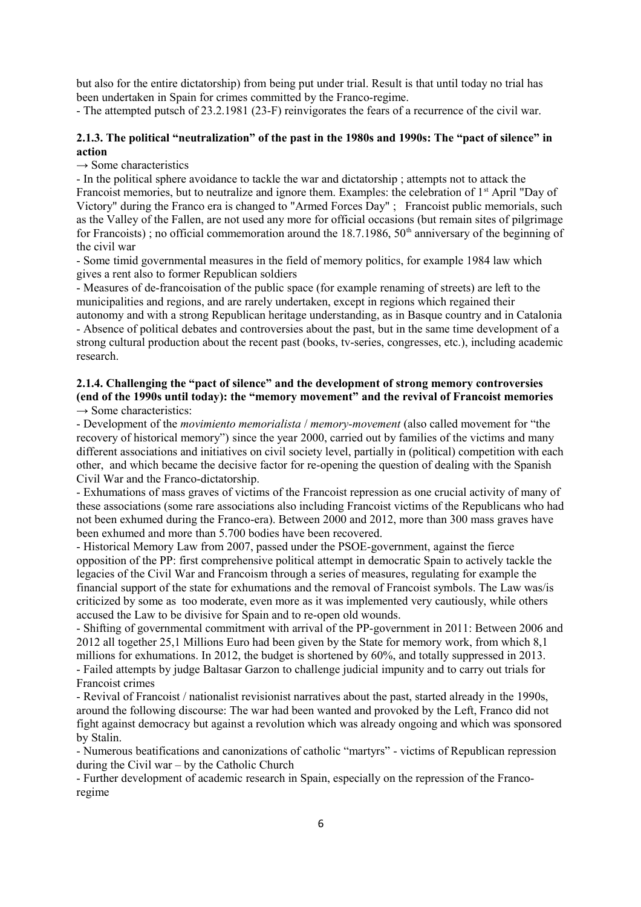but also for the entire dictatorship) from being put under trial. Result is that until today no trial has been undertaken in Spain for crimes committed by the Franco-regime.

- The attempted putsch of 23.2.1981 (23-F) reinvigorates the fears of a recurrence of the civil war.

### **2.1.3. The political "neutralization" of the past in the 1980s and 1990s: The "pact of silence" in action**

 $\rightarrow$  Some characteristics

- In the political sphere avoidance to tackle the war and dictatorship ; attempts not to attack the Francoist memories, but to neutralize and ignore them. Examples: the celebration of 1<sup>st</sup> April "Day of Victory" during the Franco era is changed to "Armed Forces Day" ; Francoist public memorials, such as the Valley of the Fallen, are not used any more for official occasions (but remain sites of pilgrimage for Francoists); no official commemoration around the 18.7.1986,  $50<sup>th</sup>$  anniversary of the beginning of the civil war

- Some timid governmental measures in the field of memory politics, for example 1984 law which gives a rent also to former Republican soldiers

- Measures of de-francoisation of the public space (for example renaming of streets) are left to the municipalities and regions, and are rarely undertaken, except in regions which regained their autonomy and with a strong Republican heritage understanding, as in Basque country and in Catalonia

- Absence of political debates and controversies about the past, but in the same time development of a strong cultural production about the recent past (books, tv-series, congresses, etc.), including academic research.

#### **2.1.4. Challenging the "pact of silence" and the development of strong memory controversies (end of the 1990s until today): the "memory movement" and the revival of Francoist memories**  $\rightarrow$  Some characteristics:

- Development of the *movimiento memorialista* / *memory-movement* (also called movement for "the recovery of historical memory") since the year 2000, carried out by families of the victims and many different associations and initiatives on civil society level, partially in (political) competition with each other, and which became the decisive factor for re-opening the question of dealing with the Spanish Civil War and the Franco-dictatorship.

- Exhumations of mass graves of victims of the Francoist repression as one crucial activity of many of these associations (some rare associations also including Francoist victims of the Republicans who had not been exhumed during the Franco-era). Between 2000 and 2012, more than 300 mass graves have been exhumed and more than 5.700 bodies have been recovered.

- Historical Memory Law from 2007, passed under the PSOE-government, against the fierce opposition of the PP: first comprehensive political attempt in democratic Spain to actively tackle the legacies of the Civil War and Francoism through a series of measures, regulating for example the financial support of the state for exhumations and the removal of Francoist symbols. The Law was/is criticized by some as too moderate, even more as it was implemented very cautiously, while others accused the Law to be divisive for Spain and to re-open old wounds.

- Shifting of governmental commitment with arrival of the PP-government in 2011: Between 2006 and 2012 all together 25,1 Millions Euro had been given by the State for memory work, from which 8,1 millions for exhumations. In 2012, the budget is shortened by 60%, and totally suppressed in 2013. - Failed attempts by judge Baltasar Garzon to challenge judicial impunity and to carry out trials for

Francoist crimes

- Revival of Francoist / nationalist revisionist narratives about the past, started already in the 1990s, around the following discourse: The war had been wanted and provoked by the Left, Franco did not fight against democracy but against a revolution which was already ongoing and which was sponsored by Stalin.

- Numerous beatifications and canonizations of catholic "martyrs" - victims of Republican repression during the Civil war – by the Catholic Church

- Further development of academic research in Spain, especially on the repression of the Francoregime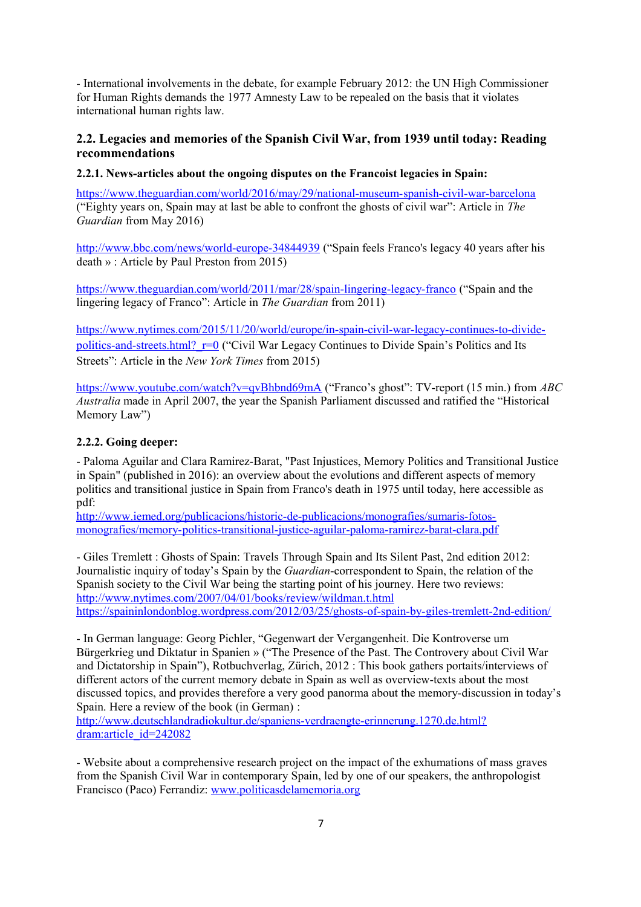- International involvements in the debate, for example February 2012: the UN High Commissioner for Human Rights demands the 1977 Amnesty Law to be repealed on the basis that it violates international human rights law.

# **2.2. Legacies and memories of the Spanish Civil War, from 1939 until today: Reading recommendations**

### **2.2.1. News-articles about the ongoing disputes on the Francoist legacies in Spain:**

<https://www.theguardian.com/world/2016/may/29/national-museum-spanish-civil-war-barcelona> ("Eighty years on, Spain may at last be able to confront the ghosts of civil war": Article in *The Guardian* from May 2016)

<http://www.bbc.com/news/world-europe-34844939>("Spain feels Franco's legacy 40 years after his death » : Article by Paul Preston from 2015)

<https://www.theguardian.com/world/2011/mar/28/spain-lingering-legacy-franco>("Spain and the lingering legacy of Franco": Article in *The Guardian* from 2011)

[https://www.nytimes.com/2015/11/20/world/europe/in-spain-civil-war-legacy-continues-to-divide](https://www.nytimes.com/2015/11/20/world/europe/in-spain-civil-war-legacy-continues-to-divide-politics-and-streets.html?_r=0)politics-and-streets.html? r=0 ("Civil War Legacy Continues to Divide Spain's Politics and Its Streets": Article in the *New York Times* from 2015)

<https://www.youtube.com/watch?v=qvBhbnd69mA>("Franco's ghost": TV-report (15 min.) from *ABC Australia* made in April 2007, the year the Spanish Parliament discussed and ratified the "Historical Memory Law")

### **2.2.2. Going deeper:**

- Paloma Aguilar and Clara Ramirez-Barat, "Past Injustices, Memory Politics and Transitional Justice in Spain" (published in 2016): an overview about the evolutions and different aspects of memory politics and transitional justice in Spain from Franco's death in 1975 until today, here accessible as pdf:

[http://www.iemed.org/publicacions/historic-de-publicacions/monografies/sumaris-fotos](http://www.iemed.org/publicacions/historic-de-publicacions/monografies/sumaris-fotos-monografies/memory-politics-transitional-justice-aguilar-paloma-ramirez-barat-clara.pdf)[monografies/memory-politics-transitional-justice-aguilar-paloma-ramirez-barat-clara.pdf](http://www.iemed.org/publicacions/historic-de-publicacions/monografies/sumaris-fotos-monografies/memory-politics-transitional-justice-aguilar-paloma-ramirez-barat-clara.pdf)

- Giles Tremlett : Ghosts of Spain: Travels Through Spain and Its Silent Past, 2nd edition 2012: Journalistic inquiry of today's Spain by the *Guardian*-correspondent to Spain, the relation of the Spanish society to the Civil War being the starting point of his journey. Here two reviews: <http://www.nytimes.com/2007/04/01/books/review/wildman.t.html> <https://spaininlondonblog.wordpress.com/2012/03/25/ghosts-of-spain-by-giles-tremlett-2nd-edition/>

- In German language: Georg Pichler, "Gegenwart der Vergangenheit. Die Kontroverse um Bürgerkrieg und Diktatur in Spanien » ("The Presence of the Past. The Controvery about Civil War and Dictatorship in Spain"), Rotbuchverlag, Zürich, 2012 : This book gathers portaits/interviews of different actors of the current memory debate in Spain as well as overview-texts about the most discussed topics, and provides therefore a very good panorma about the memory-discussion in today's Spain. Here a review of the book (in German) :

[http://www.deutschlandradiokultur.de/spaniens-verdraengte-erinnerung.1270.de.html?](http://www.deutschlandradiokultur.de/spaniens-verdraengte-erinnerung.1270.de.html?dram:article_id=242082) dram: article\_id=242082

- Website about a comprehensive research project on the impact of the exhumations of mass graves from the Spanish Civil War in contemporary Spain, led by one of our speakers, the anthropologist Francisco (Paco) Ferrandiz: [www.politicasdelamemoria.org](http://www.politicasdelamemoria.org/)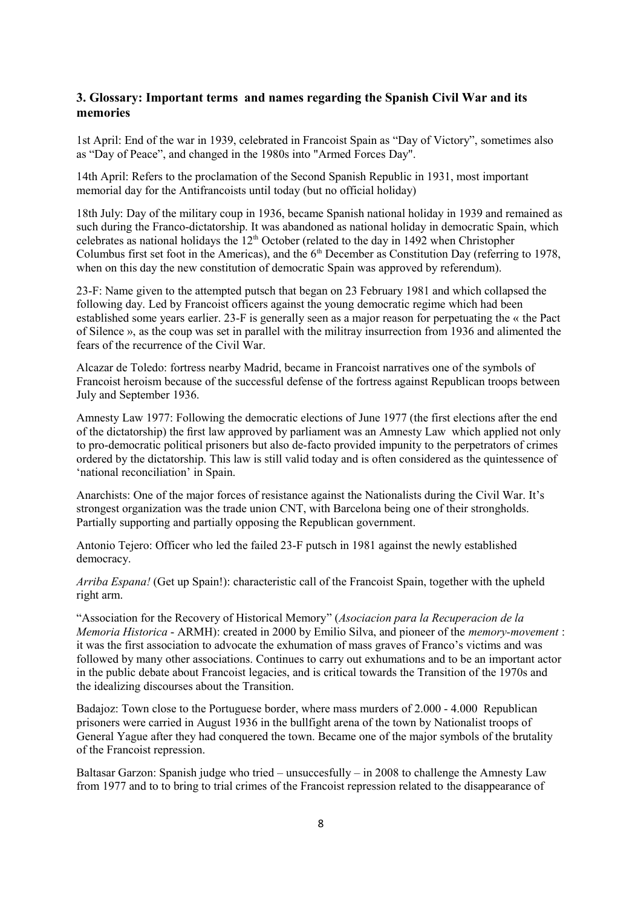## **3. Glossary: Important terms and names regarding the Spanish Civil War and its memories**

1st April: End of the war in 1939, celebrated in Francoist Spain as "Day of Victory", sometimes also as "Day of Peace", and changed in the 1980s into "Armed Forces Day".

14th April: Refers to the proclamation of the Second Spanish Republic in 1931, most important memorial day for the Antifrancoists until today (but no official holiday)

18th July: Day of the military coup in 1936, became Spanish national holiday in 1939 and remained as such during the Franco-dictatorship. It was abandoned as national holiday in democratic Spain, which celebrates as national holidays the 12<sup>th</sup> October (related to the day in 1492 when Christopher Columbus first set foot in the Americas), and the  $6<sup>th</sup>$  December as Constitution Day (referring to 1978, when on this day the new constitution of democratic Spain was approved by referendum).

23-F: Name given to the attempted putsch that began on 23 February 1981 and which collapsed the following day. Led by Francoist officers against the young democratic regime which had been established some years earlier. 23-F is generally seen as a major reason for perpetuating the « the Pact of Silence », as the coup was set in parallel with the militray insurrection from 1936 and alimented the fears of the recurrence of the Civil War.

Alcazar de Toledo: fortress nearby Madrid, became in Francoist narratives one of the symbols of Francoist heroism because of the successful defense of the fortress against Republican troops between July and September 1936.

Amnesty Law 1977: Following the democratic elections of June 1977 (the first elections after the end of the dictatorship) the first law approved by parliament was an Amnesty Law which applied not only to pro-democratic political prisoners but also de-facto provided impunity to the perpetrators of crimes ordered by the dictatorship. This law is still valid today and is often considered as the quintessence of 'national reconciliation' in Spain.

Anarchists: One of the major forces of resistance against the Nationalists during the Civil War. It's strongest organization was the trade union CNT, with Barcelona being one of their strongholds. Partially supporting and partially opposing the Republican government.

Antonio Tejero: Officer who led the failed 23-F putsch in 1981 against the newly established democracy.

*Arriba Espana!* (Get up Spain!): characteristic call of the Francoist Spain, together with the upheld right arm.

"Association for the Recovery of Historical Memory" (*Asociacion para la Recuperacion de la Memoria Historica* - ARMH): created in 2000 by Emilio Silva, and pioneer of the *memory-movement* : it was the first association to advocate the exhumation of mass graves of Franco's victims and was followed by many other associations. Continues to carry out exhumations and to be an important actor in the public debate about Francoist legacies, and is critical towards the Transition of the 1970s and the idealizing discourses about the Transition.

Badajoz: Town close to the Portuguese border, where mass murders of 2.000 - 4.000 Republican prisoners were carried in August 1936 in the bullfight arena of the town by Nationalist troops of General Yague after they had conquered the town. Became one of the major symbols of the brutality of the Francoist repression.

Baltasar Garzon: Spanish judge who tried – unsuccesfully – in 2008 to challenge the Amnesty Law from 1977 and to to bring to trial crimes of the Francoist repression related to the disappearance of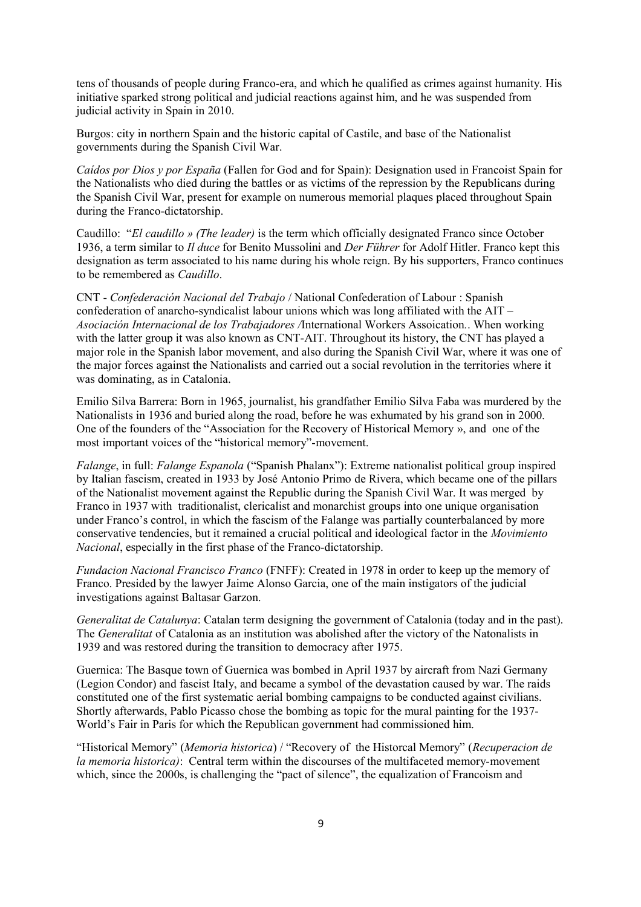tens of thousands of people during Franco-era, and which he qualified as crimes against humanity. His initiative sparked strong political and judicial reactions against him, and he was suspended from judicial activity in Spain in 2010.

Burgos: city in northern Spain and the historic capital of Castile, and base of the Nationalist governments during the Spanish Civil War.

*Caídos por Dios y por España* (Fallen for God and for Spain): Designation used in Francoist Spain for the Nationalists who died during the battles or as victims of the repression by the Republicans during the Spanish Civil War, present for example on numerous memorial plaques placed throughout Spain during the Franco-dictatorship.

Caudillo: "*El caudillo » (The leader)* is the term which officially designated Franco since October 1936, a term similar to *Il duce* for Benito Mussolini and *Der Führer* for Adolf Hitler. Franco kept this designation as term associated to his name during his whole reign. By his supporters, Franco continues to be remembered as *Caudillo*.

CNT - *Confederación Nacional del Trabajo* / National Confederation of Labour : Spanish [confederation](https://en.wikipedia.org/wiki/Confederation) of [anarcho-syndicalist](https://en.wikipedia.org/wiki/Anarcho-syndicalist) [labour unions](https://en.wikipedia.org/wiki/Labour_union) which was long affiliated with the AIT – *Asociación Internacional de los Trabajadores /*International Workers Assoication*.*. When working with the latter group it was also known as CNT-AIT. Throughout its history, the CNT has played a major role in the Spanish labor movement, and also during the Spanish Civil War, where it was one of the major forces against the Nationalists and carried out a social revolution in the territories where it was dominating, as in Catalonia.

Emilio Silva Barrera: Born in 1965, journalist, his grandfather Emilio Silva Faba was murdered by the Nationalists in 1936 and buried along the road, before he was exhumated by his grand son in 2000. One of the founders of the "Association for the Recovery of Historical Memory », and one of the most important voices of the "historical memory"-movement.

*Falange*, in full: *Falange Espanola* ("Spanish Phalanx"): Extreme nationalist political group inspired by Italian fascism, created in 1933 by José Antonio Primo de Rivera, which became one of the pillars of the Nationalist movement against the Republic during the Spanish Civil War. It was merged by Franco in 1937 with traditionalist, clericalist and monarchist groups into one unique organisation under Franco's control, in which the fascism of the Falange was partially counterbalanced by more conservative tendencies, but it remained a crucial political and ideological factor in the *Movimiento Nacional*, especially in the first phase of the Franco-dictatorship.

*Fundacion Nacional Francisco Franco* (FNFF): Created in 1978 in order to keep up the memory of Franco. Presided by the lawyer Jaime Alonso Garcia, one of the main instigators of the judicial investigations against Baltasar Garzon.

*Generalitat de Catalunya*: Catalan term designing the government of Catalonia (today and in the past). The *Generalitat* of Catalonia as an institution was abolished after the victory of the Natonalists in 1939 and was restored during the transition to democracy after 1975.

Guernica: The Basque town of Guernica was bombed in April 1937 by aircraft from Nazi Germany (Legion Condor) and fascist Italy, and became a symbol of the devastation caused by war. The raids constituted one of the first systematic aerial bombing campaigns to be conducted against civilians. Shortly afterwards, Pablo Picasso chose the bombing as topic for the mural painting for the 1937- World's Fair in Paris for which the Republican government had commissioned him.

"Historical Memory" (*Memoria historica*) / "Recovery of the Historcal Memory" (*Recuperacion de la memoria historica)*: Central term within the discourses of the multifaceted memory-movement which, since the 2000s, is challenging the "pact of silence", the equalization of Francoism and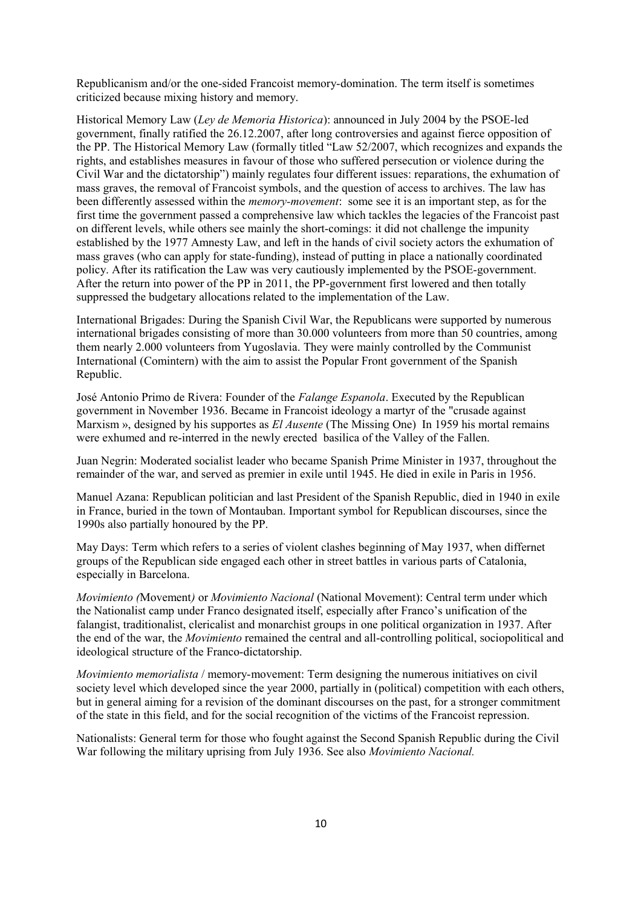Republicanism and/or the one-sided Francoist memory-domination. The term itself is sometimes criticized because mixing history and memory.

Historical Memory Law (*Ley de Memoria Historica*): announced in July 2004 by the PSOE-led government, finally ratified the 26.12.2007, after long controversies and against fierce opposition of the PP. The Historical Memory Law (formally titled "Law 52/2007, which recognizes and expands the rights, and establishes measures in favour of those who suffered persecution or violence during the Civil War and the dictatorship") mainly regulates four different issues: reparations, the exhumation of mass graves, the removal of Francoist symbols, and the question of access to archives. The law has been differently assessed within the *memory-movement*: some see it is an important step, as for the first time the government passed a comprehensive law which tackles the legacies of the Francoist past on different levels, while others see mainly the short-comings: it did not challenge the impunity established by the 1977 Amnesty Law, and left in the hands of civil society actors the exhumation of mass graves (who can apply for state-funding), instead of putting in place a nationally coordinated policy. After its ratification the Law was very cautiously implemented by the PSOE-government. After the return into power of the PP in 2011, the PP-government first lowered and then totally suppressed the budgetary allocations related to the implementation of the Law.

International Brigades: During the Spanish Civil War, the Republicans were supported by numerous international brigades consisting of more than 30.000 volunteers from more than 50 countries, among them nearly 2.000 volunteers from Yugoslavia. They were mainly controlled by the Communist International (Comintern) with the aim to assist the Popular Front government of the Spanish Republic.

José Antonio Primo de Rivera: Founder of the *Falange Espanola*. Executed by the Republican government in November 1936. Became in Francoist ideology a martyr of the "crusade against Marxism », designed by his supportes as *El Ausente* (The Missing One) In 1959 his mortal remains were exhumed and re-interred in the newly erected basilica of the Valley of the Fallen.

Juan Negrin: Moderated socialist leader who became Spanish Prime Minister in 1937, throughout the remainder of the war, and served as premier in exile until 1945. He died in exile in Paris in 1956.

Manuel Azana: Republican politician and last President of the Spanish Republic, died in 1940 in exile in France, buried in the town of Montauban. Important symbol for Republican discourses, since the 1990s also partially honoured by the PP.

May Days: Term which refers to a series of violent clashes beginning of May 1937, when differnet groups of the Republican side engaged each other in street battles in various parts of Catalonia, especially in Barcelona.

*Movimiento (*Movement*)* or *Movimiento Nacional* (National Movement): Central term under which the Nationalist camp under Franco designated itself, especially after Franco's unification of the falangist, traditionalist, clericalist and monarchist groups in one political organization in 1937. After the end of the war, the *Movimiento* remained the central and all-controlling political, sociopolitical and ideological structure of the Franco-dictatorship.

*Movimiento memorialista* / memory-movement: Term designing the numerous initiatives on civil society level which developed since the year 2000, partially in (political) competition with each others, but in general aiming for a revision of the dominant discourses on the past, for a stronger commitment of the state in this field, and for the social recognition of the victims of the Francoist repression.

Nationalists: General term for those who fought against the Second Spanish Republic during the Civil War following the military uprising from July 1936. See also *Movimiento Nacional.*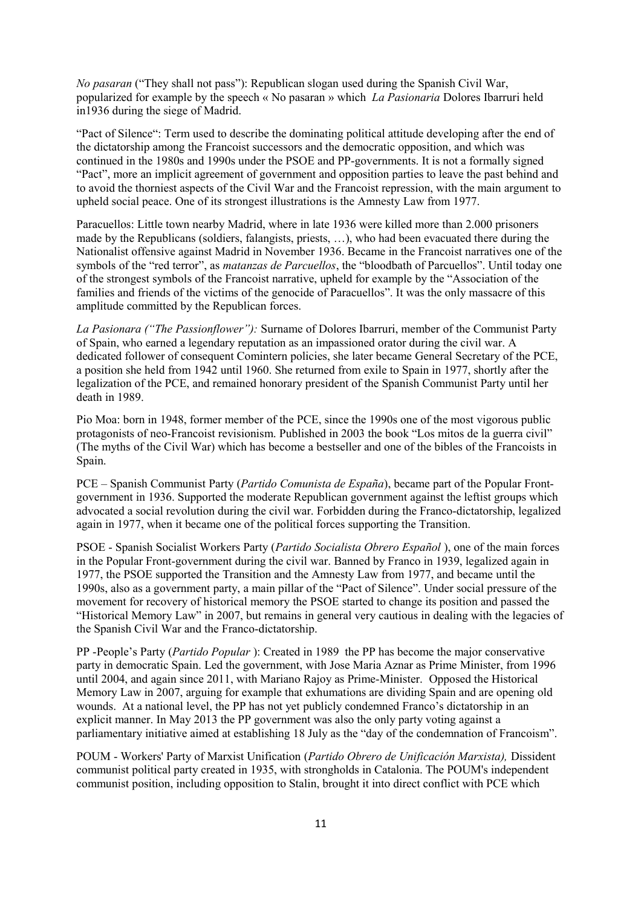*No pasaran* ("They shall not pass"): Republican slogan used during the [Spanish Civil War,](https://en.wikipedia.org/wiki/Spanish_Civil_War) popularized for example by the speech « No pasaran » which *La Pasionaria* Dolores Ibarruri held in1936 during the siege of Madrid.

"Pact of Silence": Term used to describe the dominating political attitude developing after the end of the dictatorship among the Francoist successors and the democratic opposition, and which was continued in the 1980s and 1990s under the PSOE and PP-governments. It is not a formally signed "Pact", more an implicit agreement of government and opposition parties to leave the past behind and to avoid the thorniest aspects of the Civil War and the Francoist repression, with the main argument to upheld social peace. One of its strongest illustrations is the Amnesty Law from 1977.

Paracuellos: Little town nearby Madrid, where in late 1936 were killed more than 2.000 prisoners made by the Republicans (soldiers, falangists, priests, …), who had been evacuated there during the Nationalist offensive against Madrid in November 1936. Became in the Francoist narratives one of the symbols of the "red terror", as *matanzas de Parcuellos*, the "bloodbath of Parcuellos". Until today one of the strongest symbols of the Francoist narrative, upheld for example by the "Association of the families and friends of the victims of the genocide of Paracuellos". It was the only massacre of this amplitude committed by the Republican forces.

*La Pasionara ("The Passionflower"):* Surname of Dolores Ibarruri, member of the Communist Party of Spain, who earned a legendary reputation as an impassioned orator during the civil war. A dedicated follower of consequent Comintern policies, she later became General Secretary of the PCE, a position she held from 1942 until 1960. She returned from exile to Spain in 1977, shortly after the legalization of the PCE, and remained honorary president of the Spanish Communist Party until her death in 1989.

Pio Moa: born in 1948, former member of the PCE, since the 1990s one of the most vigorous public protagonists of neo-Francoist revisionism. Published in 2003 the book "Los mitos de la guerra civil" (The myths of the Civil War) which has become a bestseller and one of the bibles of the Francoists in Spain.

PCE – Spanish Communist Party (*Partido Comunista de España*), became part of the Popular Frontgovernment in 1936. Supported the moderate Republican government against the leftist groups which advocated a social revolution during the civil war. Forbidden during the Franco-dictatorship, legalized again in 1977, when it became one of the political forces supporting the Transition.

PSOE - Spanish Socialist Workers Party (*Partido Socialista Obrero Español* ), one of the main forces in the Popular Front-government during the civil war. Banned by Franco in 1939, legalized again in 1977, the PSOE supported the Transition and the Amnesty Law from 1977, and became until the 1990s, also as a government party, a main pillar of the "Pact of Silence". Under social pressure of the movement for recovery of historical memory the PSOE started to change its position and passed the "Historical Memory Law" in 2007, but remains in general very cautious in dealing with the legacies of the Spanish Civil War and the Franco-dictatorship.

PP -People's Party (*Partido Popular* ): Created in 1989 the PP has become the major conservative party in democratic Spain. Led the government, with Jose Maria Aznar as Prime Minister, from 1996 until 2004, and again since 2011, with Mariano Rajoy as Prime-Minister. Opposed the Historical Memory Law in 2007, arguing for example that exhumations are dividing Spain and are opening old wounds. At a national level, the PP has not yet publicly condemned Franco's dictatorship in an explicit manner. In May 2013 the PP government was also the only party voting against a parliamentary initiative aimed at establishing 18 July as the "day of the condemnation of Francoism".

POUM - [Workers' Party of Marxist Unification](https://en.wikipedia.org/wiki/Workers) (*Partido Obrero de Unificación Marxista),* Dissident communist political party created in 1935, with strongholds in Catalonia. The POUM's independent communist position, including opposition to Stalin, brought it into direct conflict with PCE which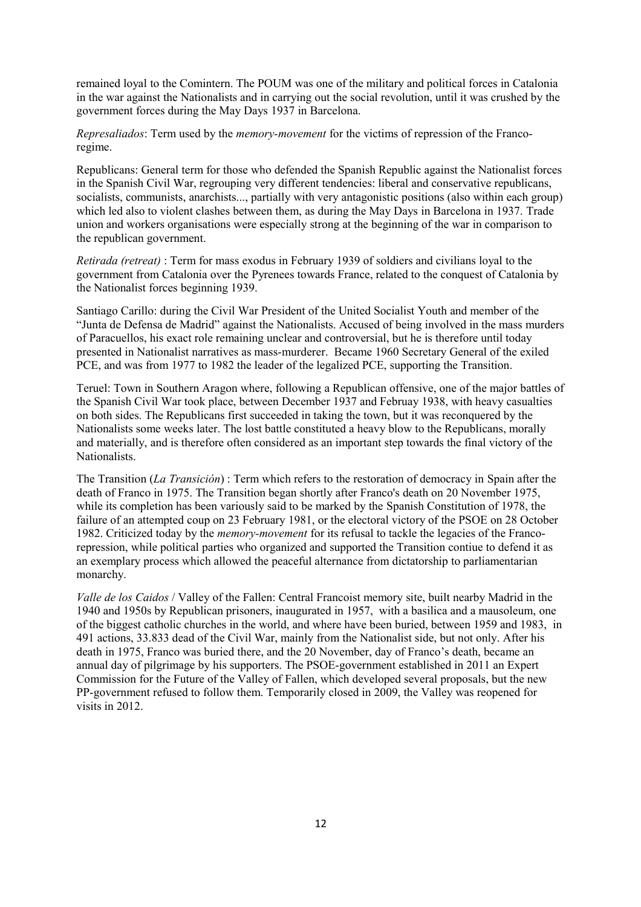remained loyal to the Comintern. The POUM was one of the military and political forces in Catalonia in the war against the Nationalists and in carrying out the social revolution, until it was crushed by the government forces during the May Days 1937 in Barcelona.

*Represaliados*: Term used by the *memory-movement* for the victims of repression of the Francoregime.

Republicans: General term for those who defended the Spanish Republic against the Nationalist forces in the Spanish Civil War, regrouping very different tendencies: liberal and conservative republicans, socialists, communists, anarchists..., partially with very antagonistic positions (also within each group) which led also to violent clashes between them, as during the May Days in Barcelona in 1937. Trade union and workers organisations were especially strong at the beginning of the war in comparison to the republican government.

*Retirada (retreat)* : Term for mass exodus in February 1939 of soldiers and civilians loyal to the government from Catalonia over the Pyrenees towards France, related to the conquest of Catalonia by the Nationalist forces beginning 1939.

Santiago Carillo: during the Civil War President of the United Socialist Youth and member of the "Junta de Defensa de Madrid" against the Nationalists. Accused of being involved in the mass murders of Paracuellos, his exact role remaining unclear and controversial, but he is therefore until today presented in Nationalist narratives as mass-murderer. Became 1960 Secretary General of the exiled PCE, and was from 1977 to 1982 the leader of the legalized PCE, supporting the Transition.

Teruel: Town in Southern Aragon where, following a Republican offensive, one of the major battles of the Spanish Civil War took place, between December 1937 and Februay 1938, with heavy casualties on both sides. The Republicans first succeeded in taking the town, but it was reconquered by the Nationalists some weeks later. The lost battle constituted a heavy blow to the Republicans, morally and materially, and is therefore often considered as an important step towards the final victory of the Nationalists.

The Transition (*La Transición*) : Term which refers to the restoration of democracy in [Spain](https://en.wikipedia.org/wiki/Spain) after the death of Franco in 1975. The Transition began shortly after Franco's death on 20 November 1975, while its completion has been variously said to be marked by the [Spanish Constitution of 1978,](https://en.wikipedia.org/wiki/Spanish_Constitution_of_1978) the failure of [an attempted coup](https://en.wikipedia.org/wiki/23-F) on 23 February 1981, or the electoral victory of the PSOE on 28 October 1982. Criticized today by the *memory-movement* for its refusal to tackle the legacies of the Francorepression, while political parties who organized and supported the Transition contiue to defend it as an exemplary process which allowed the peaceful alternance from dictatorship to parliamentarian monarchy.

*Valle de los Caidos* / Valley of the Fallen: Central Francoist memory site, built nearby Madrid in the 1940 and 1950s by Republican prisoners, inaugurated in 1957, with a basilica and a mausoleum, one of the biggest catholic churches in the world, and where have been buried, between 1959 and 1983, in 491 actions, 33.833 dead of the Civil War, mainly from the Nationalist side, but not only. After his death in 1975, Franco was buried there, and the 20 November, day of Franco's death, became an annual day of pilgrimage by his supporters. The PSOE-government established in 2011 an Expert Commission for the Future of the Valley of Fallen, which developed several proposals, but the new PP-government refused to follow them. Temporarily closed in 2009, the Valley was reopened for visits in 2012.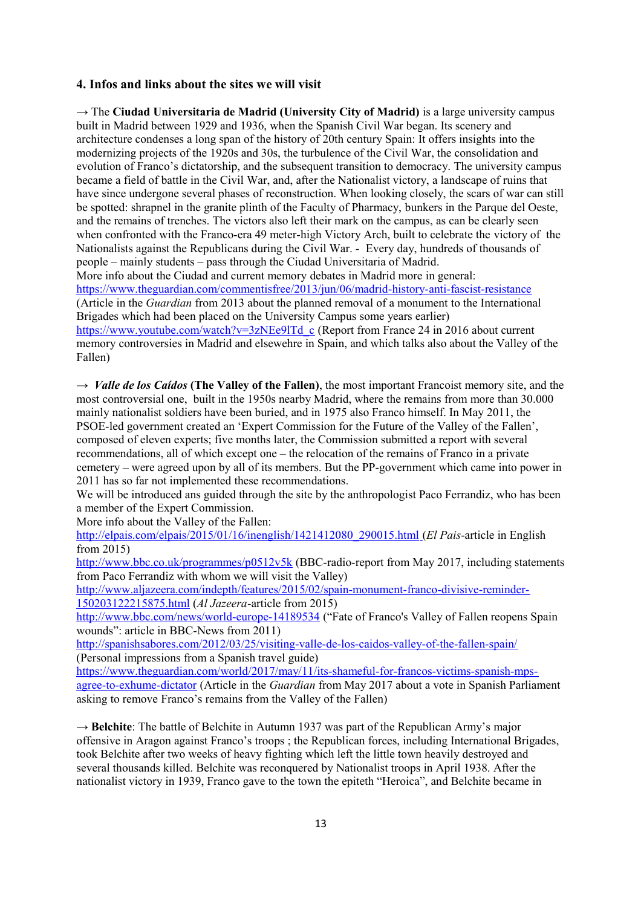#### **4. Infos and links about the sites we will visit**

→ The **Ciudad Universitaria de Madrid (University City of Madrid)** is a large university campus built in Madrid between 1929 and 1936, when the Spanish Civil War began. Its scenery and architecture condenses a long span of the history of 20th century Spain: It offers insights into the modernizing projects of the 1920s and 30s, the turbulence of the Civil War, the consolidation and evolution of Franco's dictatorship, and the subsequent transition to democracy. The university campus became a field of battle in the Civil War, and, after the Nationalist victory, a landscape of ruins that have since undergone several phases of reconstruction. When looking closely, the scars of war can still be spotted: shrapnel in the granite plinth of the Faculty of Pharmacy, bunkers in the Parque del Oeste, and the remains of trenches. The victors also left their mark on the campus, as can be clearly seen when confronted with the Franco-era 49 meter-high Victory Arch, built to celebrate the victory of the Nationalists against the Republicans during the Civil War. - Every day, hundreds of thousands of people – mainly students – pass through the Ciudad Universitaria of Madrid. More info about the Ciudad and current memory debates in Madrid more in general: <https://www.theguardian.com/commentisfree/2013/jun/06/madrid-history-anti-fascist-resistance>

(Article in the *Guardian* from 2013 about the planned removal of a monument to the International Brigades which had been placed on the University Campus some years earlier) [https://www.youtube.com/watch?v=3zNEe9lTd\\_c](https://www.youtube.com/watch?v=3zNEe9lTd_c) (Report from France 24 in 2016 about current memory controversies in Madrid and elsewehre in Spain, and which talks also about the Valley of the Fallen)

→ *Valle de los Caídos* **(The Valley of the Fallen)**, the most important Francoist memory site, and the most controversial one, built in the 1950s nearby Madrid, where the remains from more than 30.000 mainly nationalist soldiers have been buried, and in 1975 also Franco himself. In May 2011, the PSOE-led government created an 'Expert Commission for the Future of the Valley of the Fallen', composed of eleven experts; five months later, the Commission submitted a report with several recommendations, all of which except one – the relocation of the remains of Franco in a private cemetery – were agreed upon by all of its members. But the PP-government which came into power in 2011 has so far not implemented these recommendations.

We will be introduced ans guided through the site by the anthropologist Paco Ferrandiz, who has been a member of the Expert Commission.

More info about the Valley of the Fallen:

 [http://elpais.com/elpais/2015/01/16/inenglish/1421412080\\_290015.html](http://elpais.com/elpais/2015/01/16/inenglish/1421412080_290015.html) (*El Pais*-article in English from 2015)

<http://www.bbc.co.uk/programmes/p0512v5k>(BBC-radio-report from May 2017, including statements from Paco Ferrandiz with whom we will visit the Valley)

[http://www.aljazeera.com/indepth/features/2015/02/spain-monument-franco-divisive-reminder-](http://www.aljazeera.com/indepth/features/2015/02/spain-monument-franco-divisive-reminder-150203122215875.html)[150203122215875.html](http://www.aljazeera.com/indepth/features/2015/02/spain-monument-franco-divisive-reminder-150203122215875.html) (*Al Jazeera*-article from 2015)

<http://www.bbc.com/news/world-europe-14189534>("Fate of Franco's Valley of Fallen reopens Spain wounds": article in BBC-News from 2011)

<http://spanishsabores.com/2012/03/25/visiting-valle-de-los-caidos-valley-of-the-fallen-spain/> (Personal impressions from a Spanish travel guide)

[https://www.theguardian.com/world/2017/may/11/its-shameful-for-francos-victims-spanish-mps](https://www.theguardian.com/world/2017/may/11/its-shameful-for-francos-victims-spanish-mps-agree-to-exhume-dictator)[agree-to-exhume-dictator](https://www.theguardian.com/world/2017/may/11/its-shameful-for-francos-victims-spanish-mps-agree-to-exhume-dictator) (Article in the *Guardian* from May 2017 about a vote in Spanish Parliament asking to remove Franco's remains from the Valley of the Fallen)

→ **Belchite**: The battle of Belchite in Autumn 1937 was part of the Republican Army's major offensive in Aragon against Franco's troops ; the Republican forces, including International Brigades, took Belchite after two weeks of heavy fighting which left the little town heavily destroyed and several thousands killed. Belchite was reconquered by Nationalist troops in April 1938. After the nationalist victory in 1939, Franco gave to the town the epiteth "Heroica", and Belchite became in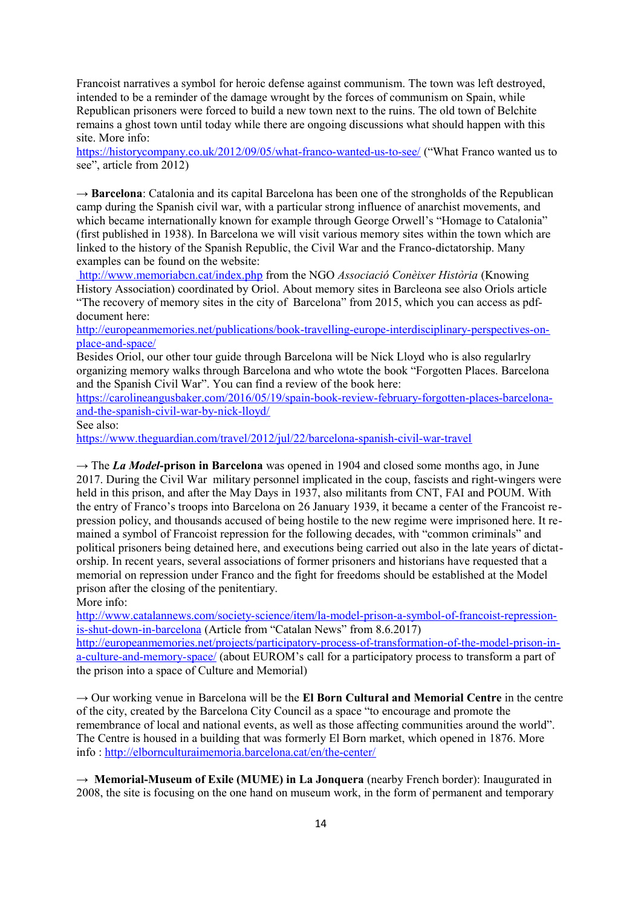Francoist narratives a symbol for heroic defense against communism. The town was left destroyed, intended to be a reminder of the damage wrought by the forces of communism on Spain, while Republican prisoners were forced to build a new town next to the ruins. The old town of Belchite remains a ghost town until today while there are ongoing discussions what should happen with this site. More info:

<https://historycompany.co.uk/2012/09/05/what-franco-wanted-us-to-see/>("What Franco wanted us to see", article from 2012)

 $\rightarrow$  **Barcelona**: Catalonia and its capital Barcelona has been one of the strongholds of the Republican camp during the Spanish civil war, with a particular strong influence of anarchist movements, and which became internationally known for example through George Orwell's "Homage to Catalonia" (first published in 1938). In Barcelona we will visit various memory sites within the town which are linked to the history of the Spanish Republic, the Civil War and the Franco-dictatorship. Many examples can be found on the website:

<http://www.memoriabcn.cat/index.php> from the NGO *Associació Conèixer Història* (Knowing History Association) coordinated by Oriol. About memory sites in Barcleona see also Oriols article "The recovery of memory sites in the city of Barcelona" from 2015, which you can access as pdfdocument here:

[http://europeanmemories.net/publications/book-travelling-europe-interdisciplinary-perspectives-on](http://europeanmemories.net/publications/book-travelling-europe-interdisciplinary-perspectives-on-place-and-space/)[place-and-space/](http://europeanmemories.net/publications/book-travelling-europe-interdisciplinary-perspectives-on-place-and-space/)

Besides Oriol, our other tour guide through Barcelona will be Nick Lloyd who is also regularlry organizing memory walks through Barcelona and who wtote the book "Forgotten Places. Barcelona and the Spanish Civil War". You can find a review of the book here:

[https://carolineangusbaker.com/2016/05/19/spain-book-review-february-forgotten-places-barcelona](https://carolineangusbaker.com/2016/05/19/spain-book-review-february-forgotten-places-barcelona-and-the-spanish-civil-war-by-nick-lloyd/)[and-the-spanish-civil-war-by-nick-lloyd/](https://carolineangusbaker.com/2016/05/19/spain-book-review-february-forgotten-places-barcelona-and-the-spanish-civil-war-by-nick-lloyd/)

See also:

<https://www.theguardian.com/travel/2012/jul/22/barcelona-spanish-civil-war-travel>

→ The *La Model***-prison in Barcelona** was opened in 1904 and closed some months ago, in June 2017. During the Civil War military personnel implicated in the coup, fascists and right-wingers were held in this prison, and after the May Days in 1937, also militants from CNT, FAI and POUM. With the entry of Franco's troops into Barcelona on 26 January 1939, it became a center of the Francoist repression policy, and thousands accused of being hostile to the new regime were imprisoned here. It remained a symbol of Francoist repression for the following decades, with "common criminals" and political prisoners being detained here, and executions being carried out also in the late years of dictatorship. In recent years, several associations of former prisoners and historians have requested that a memorial on repression under Franco and the fight for freedoms should be established at the Model prison after the closing of the penitentiary.

More info:

[http://www.catalannews.com/society-science/item/la-model-prison-a-symbol-of-francoist-repression](http://www.catalannews.com/society-science/item/la-model-prison-a-symbol-of-francoist-repression-is-shut-down-in-barcelona)[is-shut-down-in-barcelona](http://www.catalannews.com/society-science/item/la-model-prison-a-symbol-of-francoist-repression-is-shut-down-in-barcelona) (Article from "Catalan News" from 8.6.2017)

[http://europeanmemories.net/projects/participatory-process-of-transformation-of-the-model-prison-in](http://europeanmemories.net/projects/participatory-process-of-transformation-of-the-model-prison-in-a-culture-and-memory-space/)[a-culture-and-memory-space/](http://europeanmemories.net/projects/participatory-process-of-transformation-of-the-model-prison-in-a-culture-and-memory-space/) (about EUROM's call for a participatory process to transform a part of the prison into a space of Culture and Memorial)

→ Our working venue in Barcelona will be the **El Born Cultural and Memorial Centre** in the centre of the city, created by the Barcelona City Council as a space "to encourage and promote the remembrance of local and national events, as well as those affecting communities around the world". The Centre is housed in a building that was formerly El Born market, which opened in 1876. More info :<http://elbornculturaimemoria.barcelona.cat/en/the-center/>

→ **Memorial-Museum of Exile (MUME) in La Jonquera** (nearby French border): Inaugurated in 2008, the site is focusing on the one hand on museum work, in the form of permanent and temporary